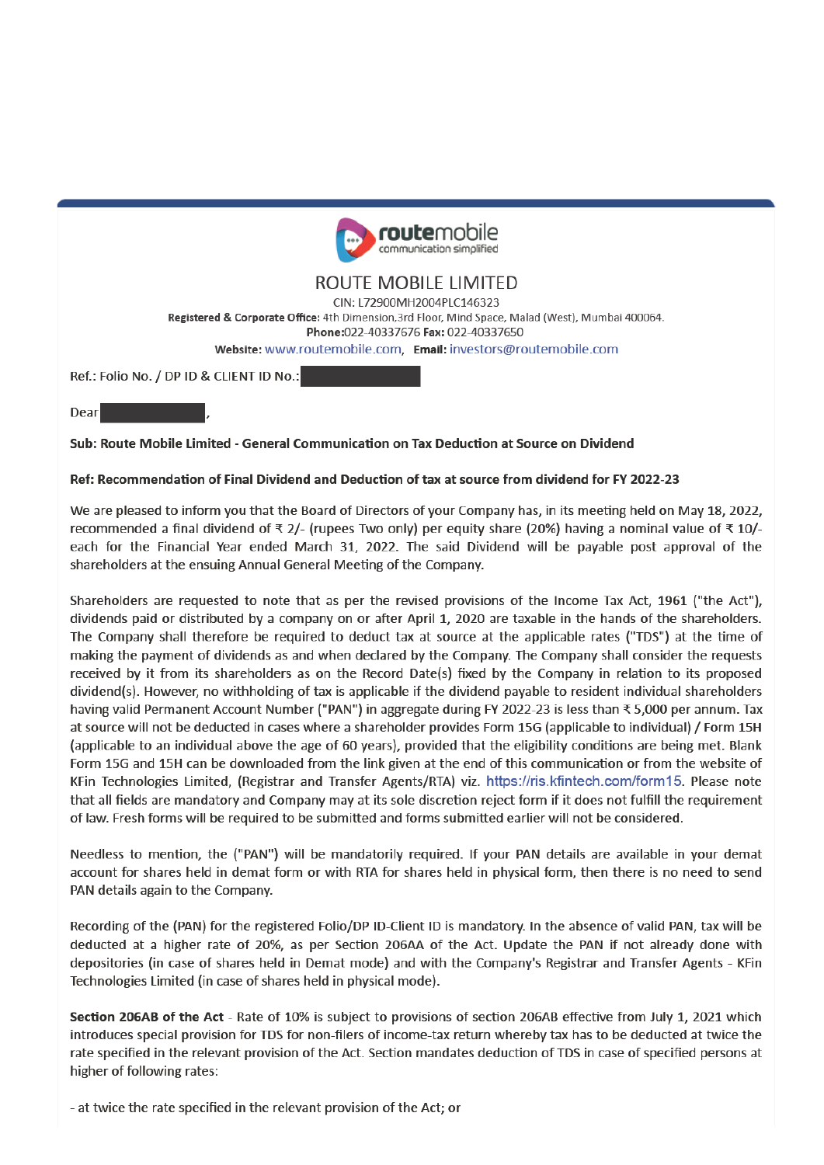

# ROUTE MOBILE LIMITED

CIN: 172900MH2004PLC146323

Registered & Corporate Office: 4th Dimension, 3rd Floor, Mind Space, Malad (West), Mumbai 400064.

Phone:022-40337676 Fax: 022-40337650

Website: www.routemobile.com, Email: investors@routemobile.com

Ref.: Folio No. / DP ID & CLIENT ID No.:

Dear

Sub: Route Mobile Limited - General Communication on Tax Deduction at Source on Dividend

#### Ref: Recommendation of Final Dividend and Deduction of tax at source from dividend for FY 2022-23

We are pleased to inform you that the Board of Directors of your Company has, in its meeting held on May 18, 2022, recommended a final dividend of ₹ 2/- (rupees Two only) per equity share (20%) having a nominal value of ₹ 10/each for the Financial Year ended March 31, 2022. The said Dividend will be payable post approval of the shareholders at the ensuing Annual General Meeting of the Company.

Shareholders are requested to note that as per the revised provisions of the Income Tax Act, 1961 ("the Act"), dividends paid or distributed by a company on or after April 1, 2020 are taxable in the hands of the shareholders. The Company shall therefore be required to deduct tax at source at the applicable rates ("TDS") at the time of making the payment of dividends as and when declared by the Company. The Company shall consider the requests received by it from its shareholders as on the Record Date(s) fixed by the Company in relation to its proposed dividend(s). However, no withholding of tax is applicable if the dividend payable to resident individual shareholders having valid Permanent Account Number ("PAN") in aggregate during FY 2022-23 is less than ₹ 5,000 per annum. Tax at source will not be deducted in cases where a shareholder provides Form 15G (applicable to individual) / Form 15H (applicable to an individual above the age of 60 years), provided that the eligibility conditions are being met. Blank Form 15G and 15H can be downloaded from the link given at the end of this communication or from the website of KFin Technologies Limited, (Registrar and Transfer Agents/RTA) viz. https://ris.kfintech.com/form15. Please note that all fields are mandatory and Company may at its sole discretion reject form if it does not fulfill the requirement of law. Fresh forms will be required to be submitted and forms submitted earlier will not be considered.

Needless to mention, the ("PAN") will be mandatorily required. If your PAN details are available in your demat account for shares held in demat form or with RTA for shares held in physical form, then there is no need to send PAN details again to the Company.

Recording of the (PAN) for the registered Folio/DP ID-Client ID is mandatory. In the absence of valid PAN, tax will be deducted at a higher rate of 20%, as per Section 206AA of the Act. Update the PAN if not already done with depositories (in case of shares held in Demat mode) and with the Company's Registrar and Transfer Agents - KFin Technologies Limited (in case of shares held in physical mode).

Section 206AB of the Act - Rate of 10% is subject to provisions of section 206AB effective from July 1, 2021 which introduces special provision for TDS for non-filers of income-tax return whereby tax has to be deducted at twice the rate specified in the relevant provision of the Act. Section mandates deduction of TDS in case of specified persons at higher of following rates:

- at twice the rate specified in the relevant provision of the Act; or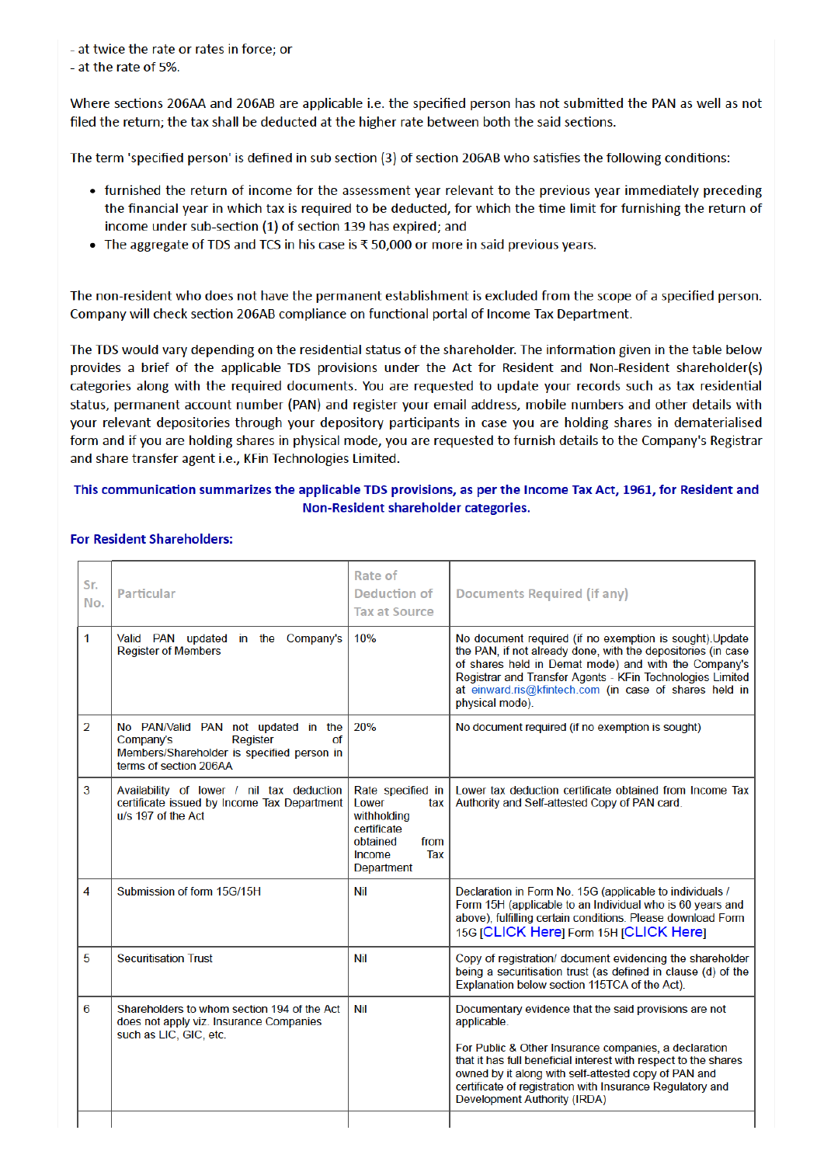- at twice the rate or rates in force; or

- at the rate of 5%.

Where sections 206AA and 206AB are applicable i.e. the specified person has not submitted the PAN as well as not filed the return; the tax shall be deducted at the higher rate between both the said sections.

The term 'specified person' is defined in sub section (3) of section 206AB who satisfies the following conditions:

- furnished the return of income for the assessment year relevant to the previous year immediately preceding the financial year in which tax is required to be deducted, for which the time limit for furnishing the return of income under sub-section (1) of section 139 has expired; and
- The aggregate of TDS and TCS in his case is  $\overline{\xi}$  50,000 or more in said previous years.

The non-resident who does not have the permanent establishment is excluded from the scope of a specified person. Company will check section 206AB compliance on functional portal of Income Tax Department.

The TDS would vary depending on the residential status of the shareholder. The information given in the table below provides a brief of the applicable TDS provisions under the Act for Resident and Non-Resident shareholder(s) categories along with the required documents. You are requested to update your records such as tax residential status, permanent account number (PAN) and register your email address, mobile numbers and other details with your relevant depositories through your depository participants in case you are holding shares in dematerialised form and if you are holding shares in physical mode, you are requested to furnish details to the Company's Registrar and share transfer agent i.e., KFin Technologies Limited.

## This communication summarizes the applicable TDS provisions, as per the Income Tax Act, 1961, for Resident and Non-Resident shareholder categories.

#### **For Resident Shareholders:**

| Sr.<br>No.     | Particular                                                                                                                                 | Rate of<br>Deduction of<br><b>Tax at Source</b>                                                                           | Documents Required (if any)                                                                                                                                                                                                                                                                                                                           |
|----------------|--------------------------------------------------------------------------------------------------------------------------------------------|---------------------------------------------------------------------------------------------------------------------------|-------------------------------------------------------------------------------------------------------------------------------------------------------------------------------------------------------------------------------------------------------------------------------------------------------------------------------------------------------|
| 1              | Valid PAN updated in the<br>Company's<br><b>Register of Members</b>                                                                        | 10%                                                                                                                       | No document required (if no exemption is sought). Update<br>the PAN, if not already done, with the depositories (in case<br>of shares held in Demat mode) and with the Company's<br>Registrar and Transfer Agents - KFin Technologies Limited<br>at einward.ris@kfintech.com (in case of shares held in<br>physical mode).                            |
| $\overline{2}$ | No PAN/Valid PAN not updated in the<br>Register<br>Company's<br>οf<br>Members/Shareholder is specified person in<br>terms of section 206AA | 20%                                                                                                                       | No document required (if no exemption is sought)                                                                                                                                                                                                                                                                                                      |
| 3              | Availability of lower / nil tax deduction<br>certificate issued by Income Tax Department<br>u/s 197 of the Act                             | Rate specified in<br>Lower<br>tax<br>withholding<br>certificate<br>obtained<br>from<br>Tax<br>Income<br><b>Department</b> | Lower tax deduction certificate obtained from Income Tax<br>Authority and Self-attested Copy of PAN card.                                                                                                                                                                                                                                             |
| 4              | Submission of form 15G/15H                                                                                                                 | Nil                                                                                                                       | Declaration in Form No. 15G (applicable to individuals /<br>Form 15H (applicable to an Individual who is 60 years and<br>above), fulfilling certain conditions. Please download Form<br>15G [CLICK Here] Form 15H [CLICK Here]                                                                                                                        |
| 5              | <b>Securitisation Trust</b>                                                                                                                | Nil                                                                                                                       | Copy of registration/ document evidencing the shareholder<br>being a securitisation trust (as defined in clause (d) of the<br>Explanation below section 115TCA of the Act).                                                                                                                                                                           |
| 6              | Shareholders to whom section 194 of the Act<br>does not apply viz. Insurance Companies<br>such as LIC, GIC, etc.                           | Nil                                                                                                                       | Documentary evidence that the said provisions are not<br>applicable.<br>For Public & Other Insurance companies, a declaration<br>that it has full beneficial interest with respect to the shares<br>owned by it along with self-attested copy of PAN and<br>certificate of registration with Insurance Regulatory and<br>Development Authority (IRDA) |
|                |                                                                                                                                            |                                                                                                                           |                                                                                                                                                                                                                                                                                                                                                       |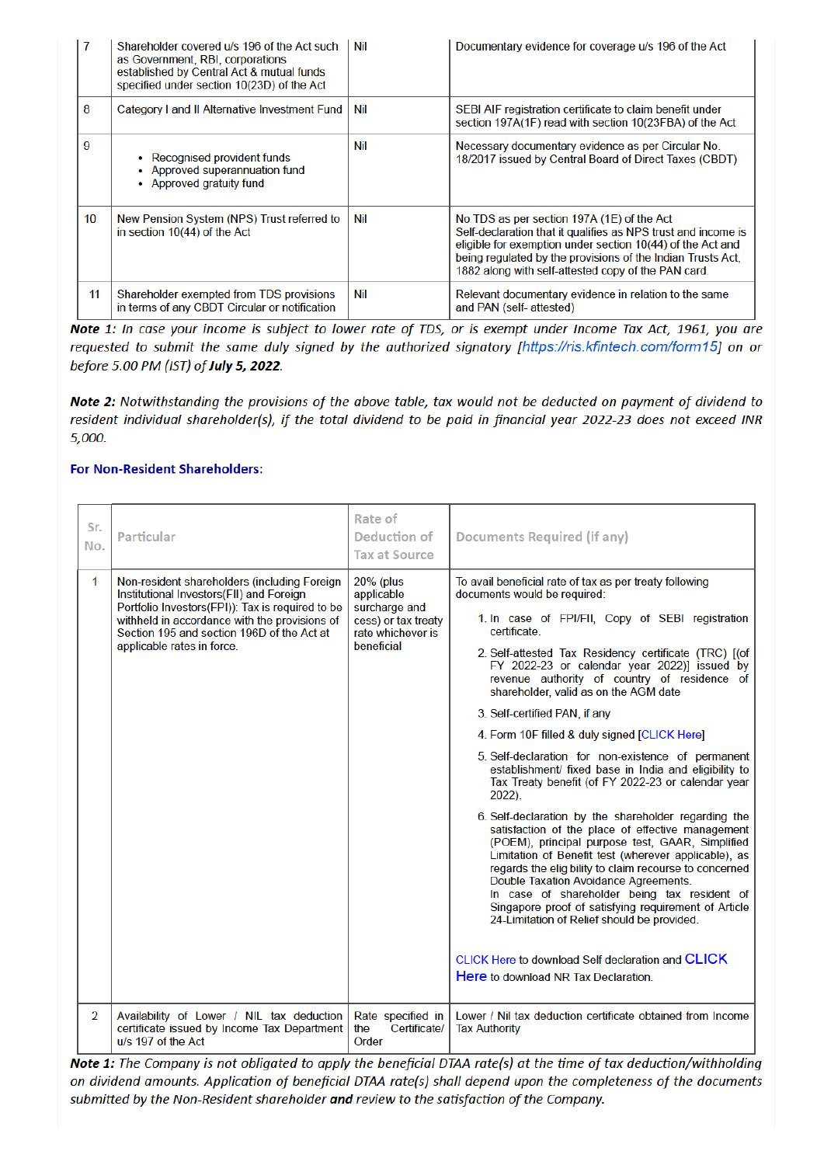|    | Shareholder covered u/s 196 of the Act such<br>as Government, RBI, corporations<br>established by Central Act & mutual funds<br>specified under section 10(23D) of the Act | Nil | Documentary evidence for coverage u/s 196 of the Act                                                                                                                                                                                                                                            |
|----|----------------------------------------------------------------------------------------------------------------------------------------------------------------------------|-----|-------------------------------------------------------------------------------------------------------------------------------------------------------------------------------------------------------------------------------------------------------------------------------------------------|
| 8  | Category I and II Alternative Investment Fund                                                                                                                              | Nil | SEBI AIF registration certificate to claim benefit under<br>section 197A(1F) read with section 10(23FBA) of the Act                                                                                                                                                                             |
| 9  | • Recognised provident funds<br>• Approved superannuation fund<br>• Approved gratuity fund                                                                                 | Nil | Necessary documentary evidence as per Circular No.<br>18/2017 issued by Central Board of Direct Taxes (CBDT)                                                                                                                                                                                    |
| 10 | New Pension System (NPS) Trust referred to<br>in section 10(44) of the Act                                                                                                 | Nil | No TDS as per section 197A (1E) of the Act<br>Self-declaration that it qualifies as NPS trust and income is<br>eligible for exemption under section 10(44) of the Act and<br>being regulated by the provisions of the Indian Trusts Act,<br>1882 along with self-attested copy of the PAN card. |
| 11 | Shareholder exempted from TDS provisions<br>in terms of any CBDT Circular or notification                                                                                  | Nil | Relevant documentary evidence in relation to the same<br>and PAN (self-attested)                                                                                                                                                                                                                |

Note 1: In case your income is subject to lower rate of TDS, or is exempt under Income Tax Act, 1961, you are requested to submit the same duly signed by the authorized signatory [https://ris.kfintech.com/form15] on or before 5.00 PM (IST) of July 5, 2022.

Note 2: Notwithstanding the provisions of the above table, tax would not be deducted on payment of dividend to resident individual shareholder(s), if the total dividend to be paid in financial year 2022-23 does not exceed INR 5,000.

#### **For Non-Resident Shareholders:**

| Sr.<br>No.     | <b>Particular</b>                                                                                                                                                                                                                                                         | Rate of<br><b>Deduction of</b><br><b>Tax at Source</b>                                             | <b>Documents Required (if any)</b>                                                                                                                                                                                                                                                                                                                                                                                                                                                                                                                                                                                                                                                                                                                                                                                                                                                                                                                                                                                                                                                                                                                                                                                    |
|----------------|---------------------------------------------------------------------------------------------------------------------------------------------------------------------------------------------------------------------------------------------------------------------------|----------------------------------------------------------------------------------------------------|-----------------------------------------------------------------------------------------------------------------------------------------------------------------------------------------------------------------------------------------------------------------------------------------------------------------------------------------------------------------------------------------------------------------------------------------------------------------------------------------------------------------------------------------------------------------------------------------------------------------------------------------------------------------------------------------------------------------------------------------------------------------------------------------------------------------------------------------------------------------------------------------------------------------------------------------------------------------------------------------------------------------------------------------------------------------------------------------------------------------------------------------------------------------------------------------------------------------------|
| 1              | Non-resident shareholders (including Foreign<br>Institutional Investors(FII) and Foreign<br>Portfolio Investors(FPI)): Tax is required to be<br>withheld in accordance with the provisions of<br>Section 195 and section 196D of the Act at<br>applicable rates in force. | 20% (plus<br>applicable<br>surcharge and<br>cess) or tax treaty<br>rate whichever is<br>beneficial | To avail beneficial rate of tax as per treaty following<br>documents would be required:<br>1. In case of FPI/FII, Copy of SEBI registration<br>certificate.<br>2. Self-attested Tax Residency certificate (TRC) [(of<br>FY 2022-23 or calendar year 2022)] issued by<br>revenue authority of country of residence of<br>shareholder, valid as on the AGM date<br>3. Self-certified PAN, if any<br>4. Form 10F filled & duly signed [CLICK Here]<br>5. Self-declaration for non-existence of permanent<br>establishment/ fixed base in India and eligibility to<br>Tax Treaty benefit (of FY 2022-23 or calendar year<br>2022).<br>6. Self-declaration by the shareholder regarding the<br>satisfaction of the place of effective management<br>(POEM), principal purpose test, GAAR, Simplified<br>Limitation of Benefit test (wherever applicable), as<br>regards the elig bility to claim recourse to concerned<br>Double Taxation Avoidance Agreements.<br>In case of shareholder being tax resident of<br>Singapore proof of satisfying requirement of Article<br>24-Limitation of Relief should be provided.<br>CLICK Here to download Self declaration and CLICK<br><b>Here</b> to download NR Tax Declaration. |
| $\overline{2}$ | Availability of Lower / NIL tax deduction<br>certificate issued by Income Tax Department<br>u/s 197 of the Act                                                                                                                                                            | Rate specified in<br>Certificate/<br>the<br>Order                                                  | Lower / Nil tax deduction certificate obtained from Income<br><b>Tax Authority</b>                                                                                                                                                                                                                                                                                                                                                                                                                                                                                                                                                                                                                                                                                                                                                                                                                                                                                                                                                                                                                                                                                                                                    |

Note 1: The Company is not obligated to apply the beneficial DTAA rate(s) at the time of tax deduction/withholding on dividend amounts. Application of beneficial DTAA rate(s) shall depend upon the completeness of the documents submitted by the Non-Resident shareholder and review to the satisfaction of the Company.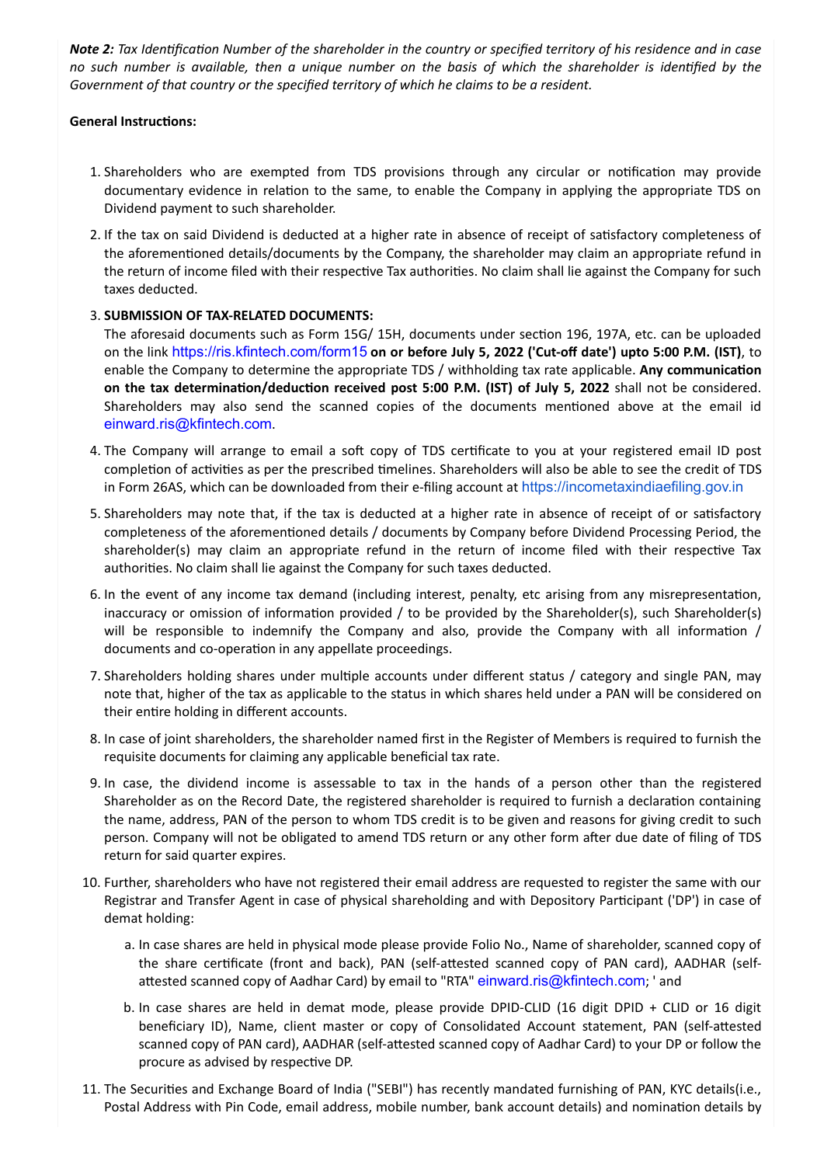*Note 2: Tax Identification Number of the shareholder in the country or specified territory of his residence and in case no such number is available, then a unique number on the basis of which the shareholder is identified by the Government of that country or the specified territory of which he claims to be a resident.*

#### **General Instructions:**

- 1. Shareholders who are exempted from TDS provisions through any circular or notification may provide documentary evidence in relation to the same, to enable the Company in applying the appropriate TDS on Dividend payment to such shareholder.
- 2. If the tax on said Dividend is deducted at a higher rate in absence of receipt of satisfactory completeness of the aforementioned details/documents by the Company, the shareholder may claim an appropriate refund in the return of income filed with their respective Tax authorities. No claim shall lie against the Company for such taxes deducted.

### 3. **SUBMISSION OF TAX-RELATED DOCUMENTS:**

The aforesaid documents such as Form 15G/ 15H, documents under section 196, 197A, etc. can be uploaded on the link https://ris.kfintech.com/form15 **on or before July 5, 2022 ('Cut-off date') upto 5:00 P.M. (IST)**, to enable the Company to determine the appropriate TDS / withholding tax rate applicable. **Any communication on the tax determination/deduction received post 5:00 P.M. (IST) of July 5, 2022** shall not be considered. Shareholders may also send the scanned copies of the documents mentioned above at the email id einward.ris@kfintech.com.

- 4. The Company will arrange to email a soft copy of TDS certificate to you at your registered email ID post completion of activities as per the prescribed timelines. Shareholders will also be able to see the credit of TDS in Form 26AS, which can be downloaded from their e-filing account at https://incometaxindiaefiling.gov.in
- 5. Shareholders may note that, if the tax is deducted at a higher rate in absence of receipt of or satisfactory completeness of the aforementioned details / documents by Company before Dividend Processing Period, the shareholder(s) may claim an appropriate refund in the return of income filed with their respective Tax authorities. No claim shall lie against the Company for such taxes deducted.
- 6. In the event of any income tax demand (including interest, penalty, etc arising from any misrepresentation, inaccuracy or omission of information provided / to be provided by the Shareholder(s), such Shareholder(s) will be responsible to indemnify the Company and also, provide the Company with all information / documents and co-operation in any appellate proceedings.
- 7. Shareholders holding shares under multiple accounts under different status / category and single PAN, may note that, higher of the tax as applicable to the status in which shares held under a PAN will be considered on their entire holding in different accounts.
- 8. In case of joint shareholders, the shareholder named first in the Register of Members is required to furnish the requisite documents for claiming any applicable beneficial tax rate.
- 9. In case, the dividend income is assessable to tax in the hands of a person other than the registered Shareholder as on the Record Date, the registered shareholder is required to furnish a declaration containing the name, address, PAN of the person to whom TDS credit is to be given and reasons for giving credit to such person. Company will not be obligated to amend TDS return or any other form after due date of filing of TDS return for said quarter expires.
- 10. Further, shareholders who have not registered their email address are requested to register the same with our Registrar and Transfer Agent in case of physical shareholding and with Depository Participant ('DP') in case of demat holding:
	- a. In case shares are held in physical mode please provide Folio No., Name of shareholder, scanned copy of the share certificate (front and back), PAN (self-attested scanned copy of PAN card), AADHAR (selfattested scanned copy of Aadhar Card) by email to "RTA" einward.ris@kfintech.com; ' and
	- b. In case shares are held in demat mode, please provide DPID-CLID (16 digit DPID + CLID or 16 digit beneficiary ID), Name, client master or copy of Consolidated Account statement, PAN (self-attested scanned copy of PAN card), AADHAR (self-attested scanned copy of Aadhar Card) to your DP or follow the procure as advised by respective DP.
- 11. The Securities and Exchange Board of India ("SEBI") has recently mandated furnishing of PAN, KYC details(i.e., Postal Address with Pin Code, email address, mobile number, bank account details) and nomination details by